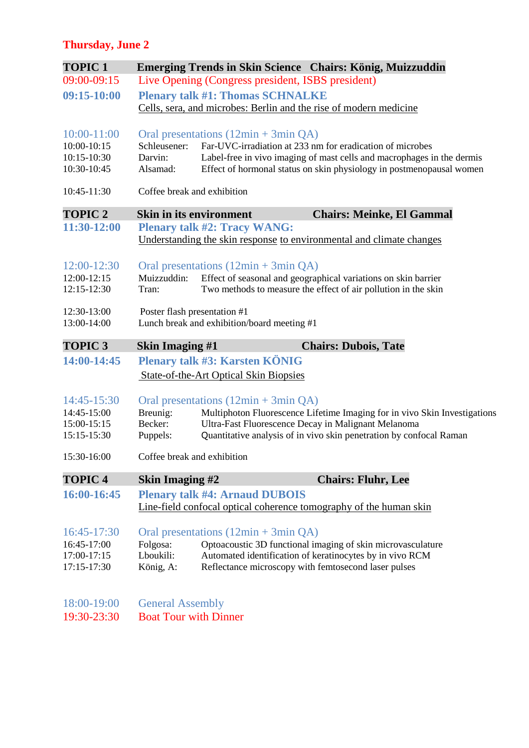# **Thursday, June 2**

| <b>TOPIC 1</b>  | Emerging Trends in Skin Science Chairs: König, Muizzuddin                             |  |  |  |
|-----------------|---------------------------------------------------------------------------------------|--|--|--|
| 09:00-09:15     | Live Opening (Congress president, ISBS president)                                     |  |  |  |
| 09:15-10:00     | <b>Plenary talk #1: Thomas SCHNALKE</b>                                               |  |  |  |
|                 | Cells, sera, and microbes: Berlin and the rise of modern medicine                     |  |  |  |
| $10:00 - 11:00$ | Oral presentations (12min + 3min QA)                                                  |  |  |  |
| 10:00-10:15     | Far-UVC-irradiation at 233 nm for eradication of microbes<br>Schleusener:             |  |  |  |
| 10:15-10:30     | Darvin:<br>Label-free in vivo imaging of mast cells and macrophages in the dermis     |  |  |  |
| 10:30-10:45     | Alsamad:<br>Effect of hormonal status on skin physiology in postmenopausal women      |  |  |  |
| 10:45-11:30     | Coffee break and exhibition                                                           |  |  |  |
| <b>TOPIC 2</b>  | <b>Skin in its environment</b><br><b>Chairs: Meinke, El Gammal</b>                    |  |  |  |
| 11:30-12:00     | <b>Plenary talk #2: Tracy WANG:</b>                                                   |  |  |  |
|                 | Understanding the skin response to environmental and climate changes                  |  |  |  |
| 12:00-12:30     | Oral presentations $(12min + 3min QA)$                                                |  |  |  |
| 12:00-12:15     | Muizzuddin:<br>Effect of seasonal and geographical variations on skin barrier         |  |  |  |
| 12:15-12:30     | Two methods to measure the effect of air pollution in the skin<br>Tran:               |  |  |  |
| 12:30-13:00     | Poster flash presentation #1                                                          |  |  |  |
| 13:00-14:00     | Lunch break and exhibition/board meeting #1                                           |  |  |  |
| <b>TOPIC 3</b>  | <b>Skin Imaging #1</b><br><b>Chairs: Dubois, Tate</b>                                 |  |  |  |
| 14:00-14:45     | Plenary talk #3: Karsten KÖNIG                                                        |  |  |  |
|                 | State-of-the-Art Optical Skin Biopsies                                                |  |  |  |
| 14:45-15:30     | Oral presentations $(12min + 3min QA)$                                                |  |  |  |
| 14:45-15:00     | Multiphoton Fluorescence Lifetime Imaging for in vivo Skin Investigations<br>Breunig: |  |  |  |
| 15:00-15:15     | Becker:<br>Ultra-Fast Fluorescence Decay in Malignant Melanoma                        |  |  |  |
| 15:15-15:30     | Quantitative analysis of in vivo skin penetration by confocal Raman<br>Puppels:       |  |  |  |
| 15:30-16:00     | Coffee break and exhibition                                                           |  |  |  |
| <b>TOPIC 4</b>  | <b>Chairs: Fluhr, Lee</b><br><b>Skin Imaging #2</b>                                   |  |  |  |
| 16:00-16:45     | <b>Plenary talk #4: Arnaud DUBOIS</b>                                                 |  |  |  |
|                 | Line-field confocal optical coherence tomography of the human skin                    |  |  |  |
| 16:45-17:30     | Oral presentations $(12min + 3min QA)$                                                |  |  |  |
| 16:45-17:00     | Optoacoustic 3D functional imaging of skin microvasculature<br>Folgosa:               |  |  |  |
| 17:00-17:15     | Lboukili:<br>Automated identification of keratinocytes by in vivo RCM                 |  |  |  |
| 17:15-17:30     | König, A:<br>Reflectance microscopy with femtosecond laser pulses                     |  |  |  |
| 18:00-19:00     | <b>General Assembly</b>                                                               |  |  |  |
| 19:30-23:30     | <b>Boat Tour with Dinner</b>                                                          |  |  |  |
|                 |                                                                                       |  |  |  |